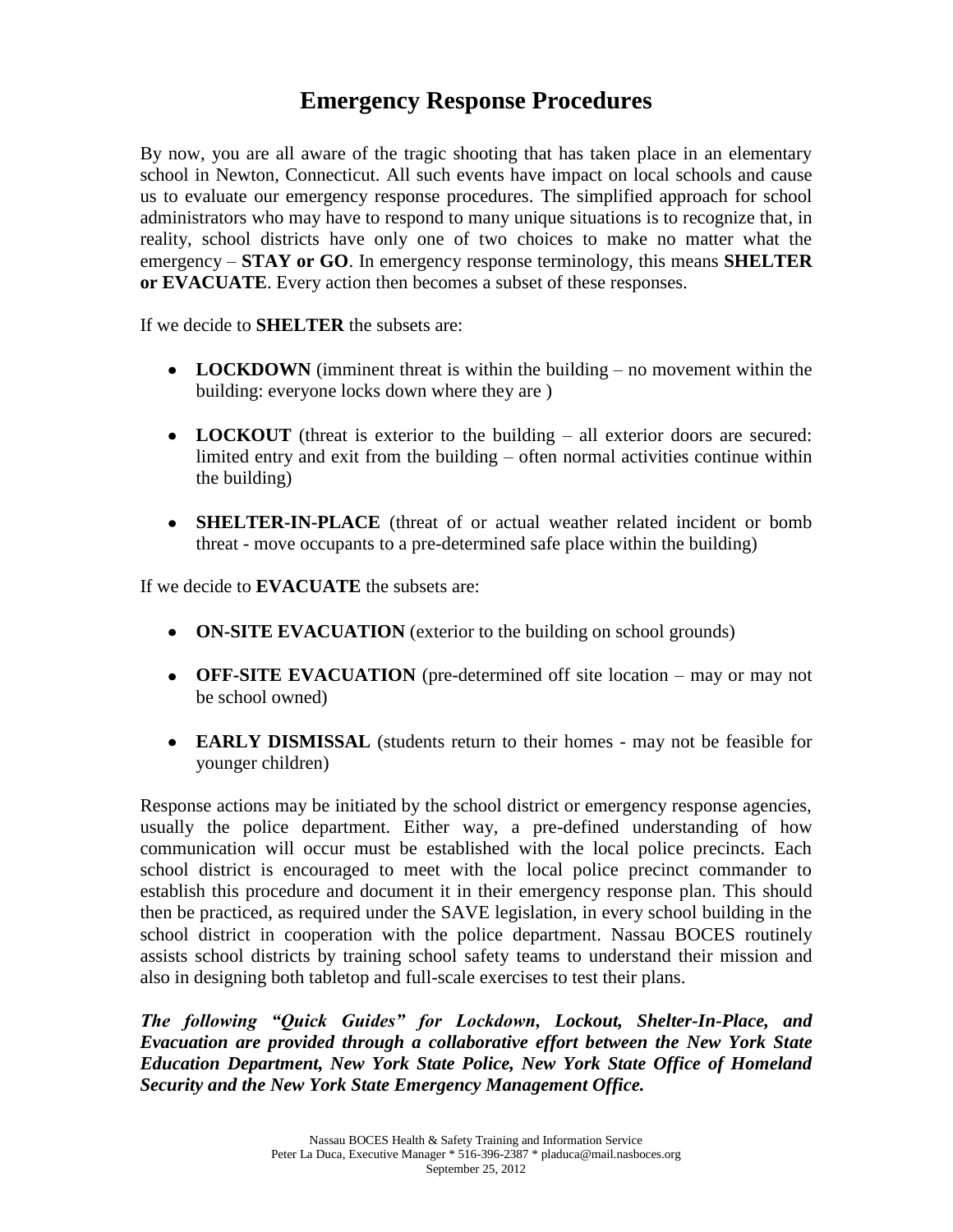## **Emergency Response Procedures**

By now, you are all aware of the tragic shooting that has taken place in an elementary school in Newton, Connecticut. All such events have impact on local schools and cause us to evaluate our emergency response procedures. The simplified approach for school administrators who may have to respond to many unique situations is to recognize that, in reality, school districts have only one of two choices to make no matter what the emergency – **STAY or GO**. In emergency response terminology, this means **SHELTER or EVACUATE**. Every action then becomes a subset of these responses.

If we decide to **SHELTER** the subsets are:

- **LOCKDOWN** (imminent threat is within the building no movement within the building: everyone locks down where they are )
- **LOCKOUT** (threat is exterior to the building all exterior doors are secured: limited entry and exit from the building – often normal activities continue within the building)
- **SHELTER-IN-PLACE** (threat of or actual weather related incident or bomb  $\bullet$ threat - move occupants to a pre-determined safe place within the building)

If we decide to **EVACUATE** the subsets are:

- **ON-SITE EVACUATION** (exterior to the building on school grounds)
- **OFF-SITE EVACUATION** (pre-determined off site location may or may not be school owned)
- **EARLY DISMISSAL** (students return to their homes may not be feasible for younger children)

Response actions may be initiated by the school district or emergency response agencies, usually the police department. Either way, a pre-defined understanding of how communication will occur must be established with the local police precincts. Each school district is encouraged to meet with the local police precinct commander to establish this procedure and document it in their emergency response plan. This should then be practiced, as required under the SAVE legislation, in every school building in the school district in cooperation with the police department. Nassau BOCES routinely assists school districts by training school safety teams to understand their mission and also in designing both tabletop and full-scale exercises to test their plans.

*The following "Quick Guides" for Lockdown, Lockout, Shelter-In-Place, and Evacuation are provided through a collaborative effort between the New York State Education Department, New York State Police, New York State Office of Homeland Security and the New York State Emergency Management Office.*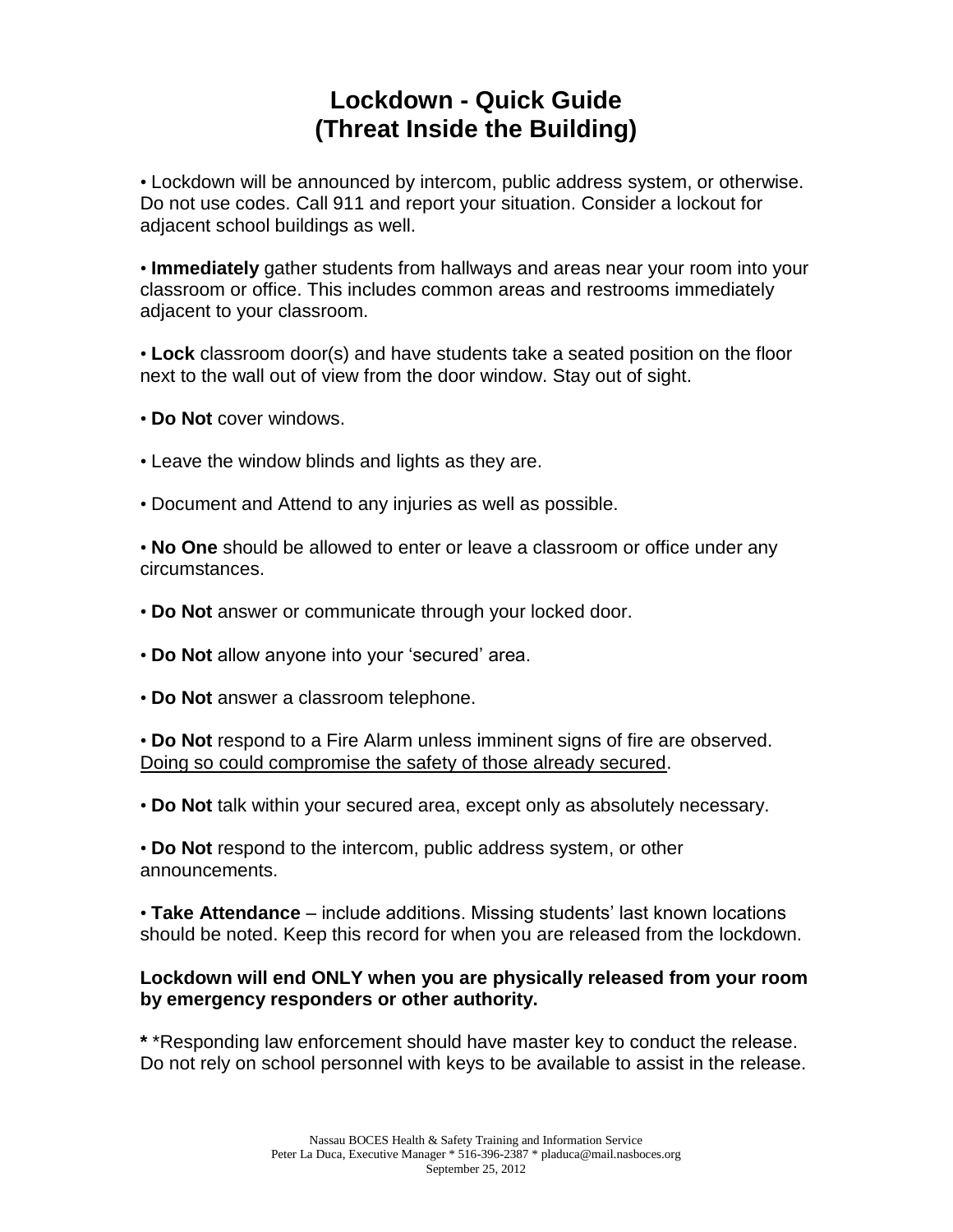# **Lockdown - Quick Guide (Threat Inside the Building)**

• Lockdown will be announced by intercom, public address system, or otherwise. Do not use codes. Call 911 and report your situation. Consider a lockout for adjacent school buildings as well.

• **Immediately** gather students from hallways and areas near your room into your classroom or office. This includes common areas and restrooms immediately adjacent to your classroom.

• **Lock** classroom door(s) and have students take a seated position on the floor next to the wall out of view from the door window. Stay out of sight.

• **Do Not** cover windows.

- Leave the window blinds and lights as they are.
- Document and Attend to any injuries as well as possible.

• **No One** should be allowed to enter or leave a classroom or office under any circumstances.

- **Do Not** answer or communicate through your locked door.
- **Do Not** allow anyone into your 'secured' area.
- **Do Not** answer a classroom telephone.

• **Do Not** respond to a Fire Alarm unless imminent signs of fire are observed. Doing so could compromise the safety of those already secured.

• **Do Not** talk within your secured area, except only as absolutely necessary.

• **Do Not** respond to the intercom, public address system, or other announcements.

• **Take Attendance** – include additions. Missing students' last known locations should be noted. Keep this record for when you are released from the lockdown.

#### **Lockdown will end ONLY when you are physically released from your room by emergency responders or other authority.**

**\*** \*Responding law enforcement should have master key to conduct the release. Do not rely on school personnel with keys to be available to assist in the release.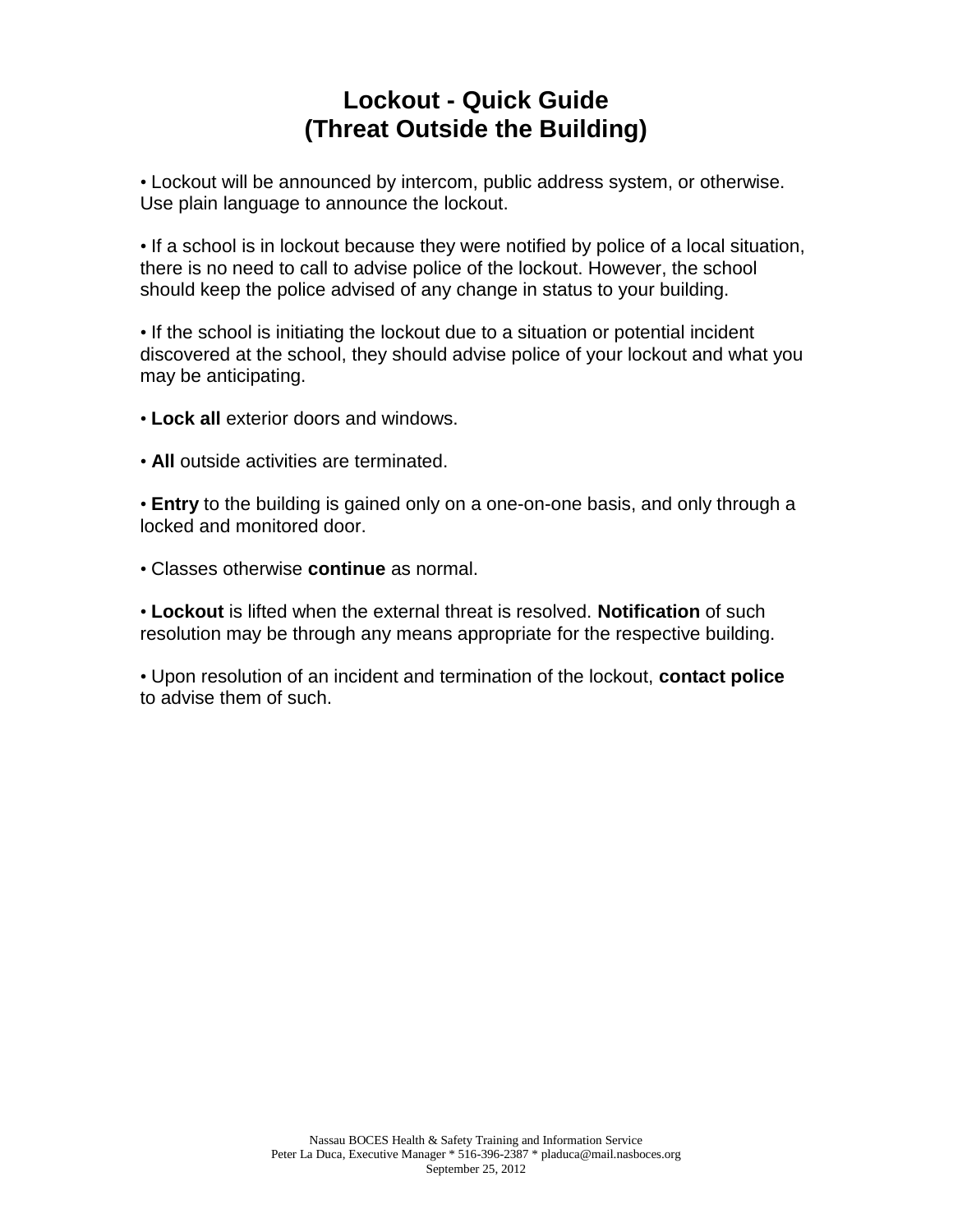# **Lockout - Quick Guide (Threat Outside the Building)**

• Lockout will be announced by intercom, public address system, or otherwise. Use plain language to announce the lockout.

• If a school is in lockout because they were notified by police of a local situation, there is no need to call to advise police of the lockout. However, the school should keep the police advised of any change in status to your building.

• If the school is initiating the lockout due to a situation or potential incident discovered at the school, they should advise police of your lockout and what you may be anticipating.

• **Lock all** exterior doors and windows.

• **All** outside activities are terminated.

• **Entry** to the building is gained only on a one-on-one basis, and only through a locked and monitored door.

• Classes otherwise **continue** as normal.

• **Lockout** is lifted when the external threat is resolved. **Notification** of such resolution may be through any means appropriate for the respective building.

• Upon resolution of an incident and termination of the lockout, **contact police** to advise them of such.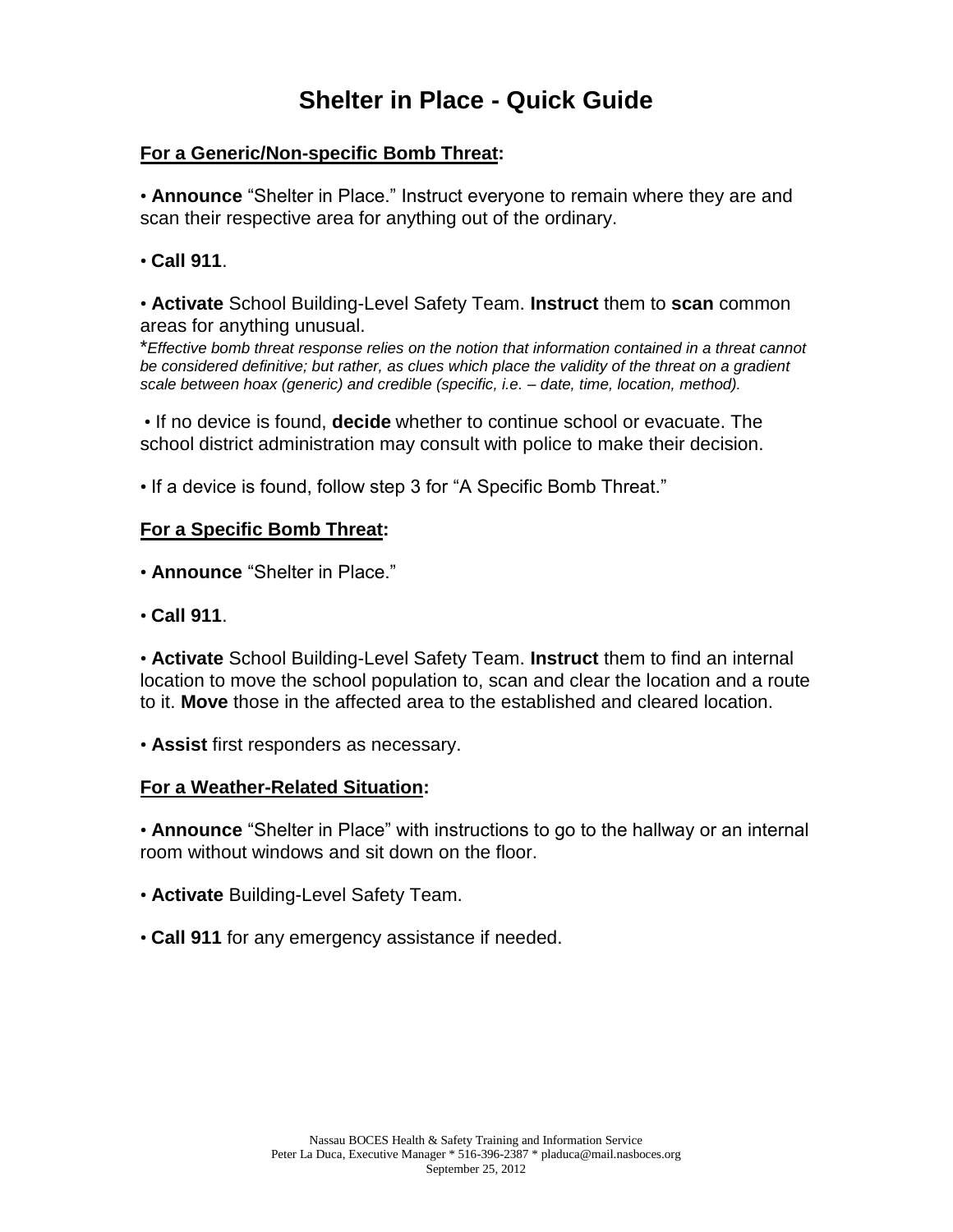# **Shelter in Place - Quick Guide**

### **For a Generic/Non-specific Bomb Threat:**

• **Announce** "Shelter in Place." Instruct everyone to remain where they are and scan their respective area for anything out of the ordinary.

• **Call 911**.

• **Activate** School Building-Level Safety Team. **Instruct** them to **scan** common areas for anything unusual.

\**Effective bomb threat response relies on the notion that information contained in a threat cannot be considered definitive; but rather, as clues which place the validity of the threat on a gradient scale between hoax (generic) and credible (specific, i.e. – date, time, location, method).*

• If no device is found, **decide** whether to continue school or evacuate. The school district administration may consult with police to make their decision.

• If a device is found, follow step 3 for "A Specific Bomb Threat."

#### **For a Specific Bomb Threat:**

• **Announce** "Shelter in Place."

• **Call 911**.

• **Activate** School Building-Level Safety Team. **Instruct** them to find an internal location to move the school population to, scan and clear the location and a route to it. **Move** those in the affected area to the established and cleared location.

• **Assist** first responders as necessary.

#### **For a Weather-Related Situation:**

• **Announce** "Shelter in Place" with instructions to go to the hallway or an internal room without windows and sit down on the floor.

- **Activate** Building-Level Safety Team.
- **Call 911** for any emergency assistance if needed.